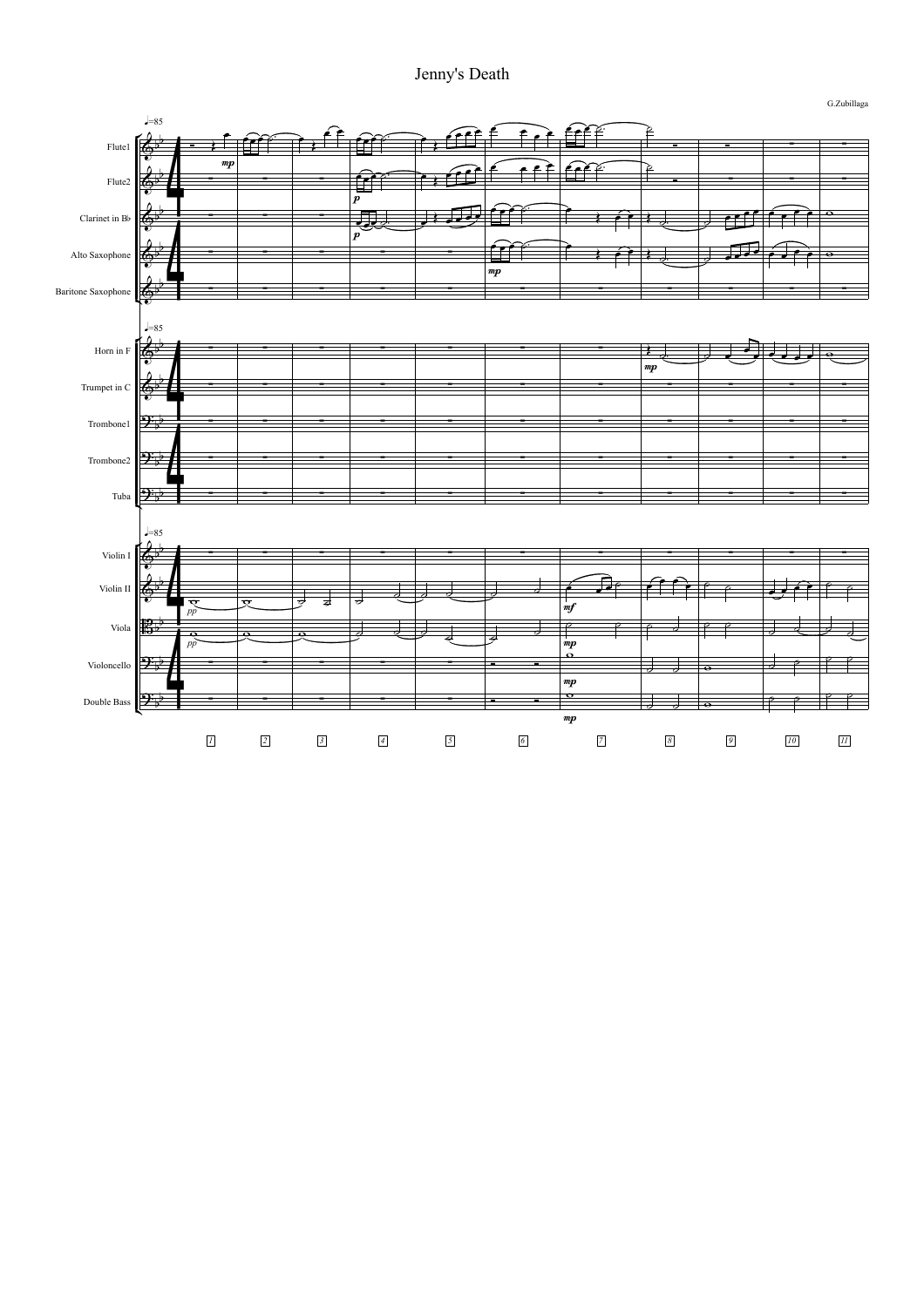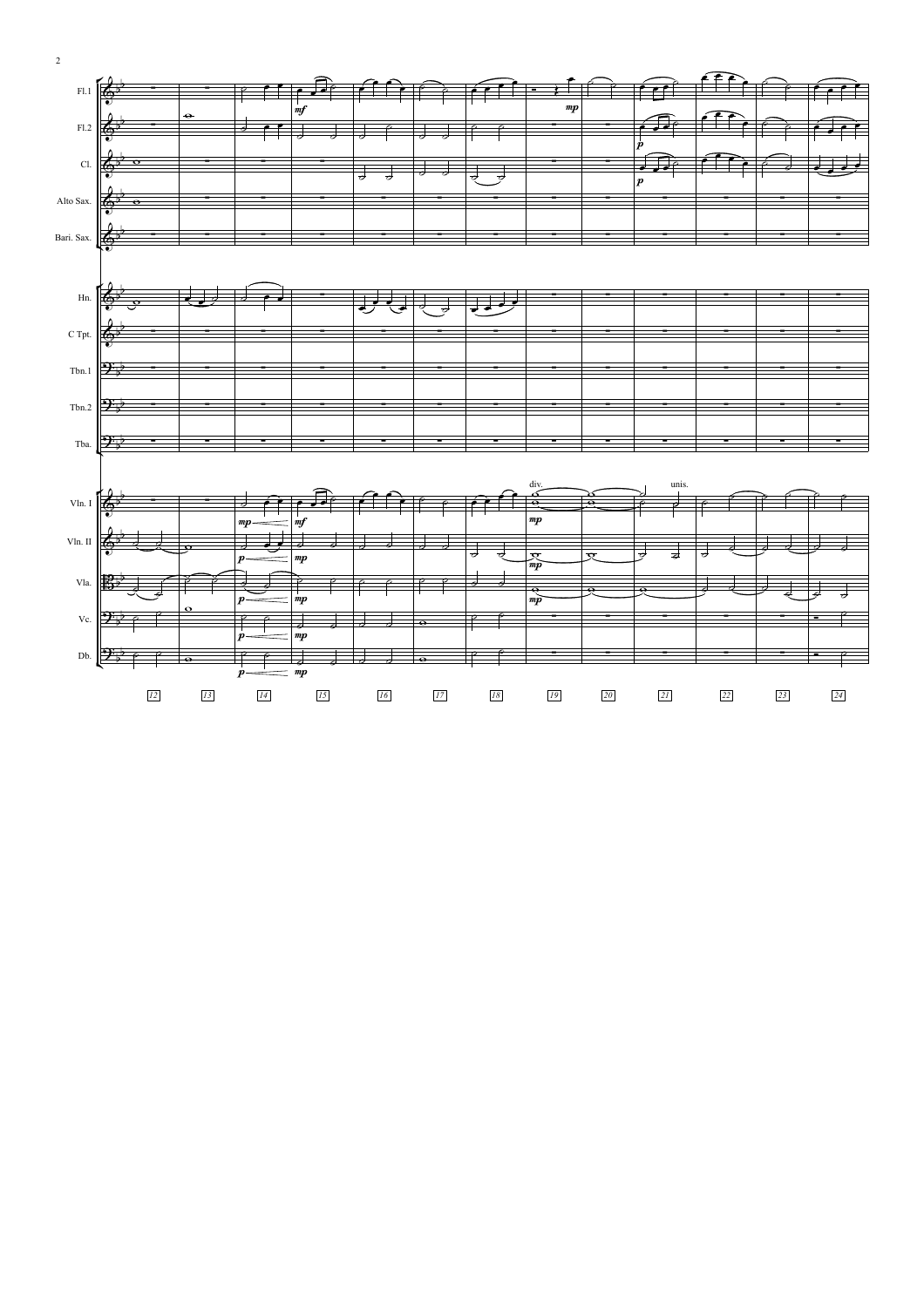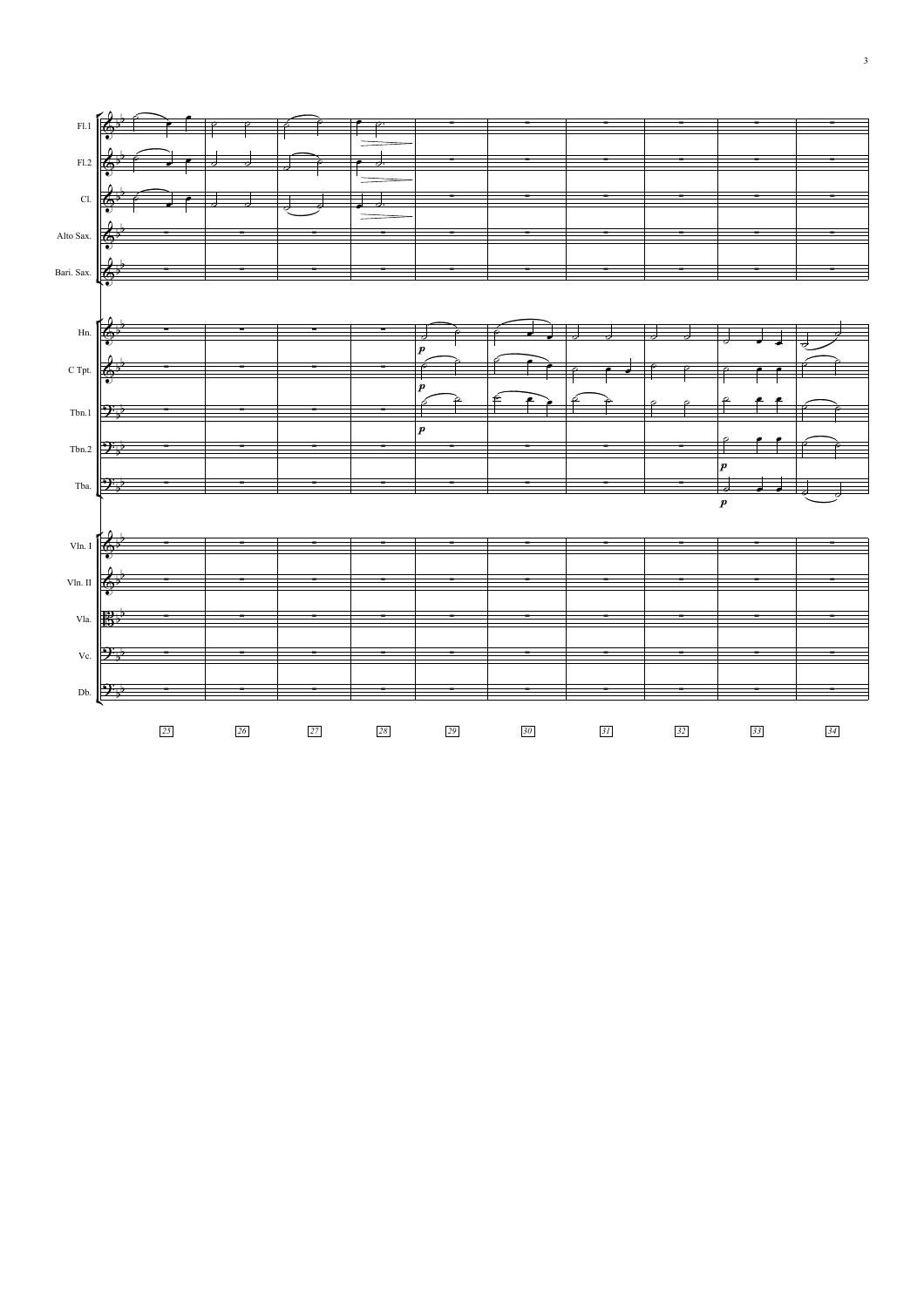